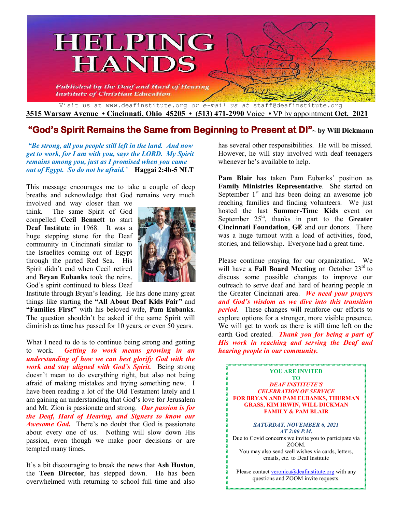

**3515 Warsaw Avenue • Cincinnati, Ohio 45205 • (513) 471-2990** Voice **•** VP by appointment **Oct. 2021**

## **"God's Spirit Remains the Same from Beginning to Present at DI"~ by Will Dickmann**

*"Be strong, all you people still left in the land. And now get to work, for I am with you, says the LORD. My Spirit remains among you, just as I promised when you came out of Egypt. So do not be afraid.'* **Haggai 2:4b-5 NLT**

This message encourages me to take a couple of deep breaths and acknowledge that God remains very much

involved and way closer than we think. The same Spirit of God compelled **Cecil Bennett** to start **Deaf Institute** in 1968. It was a huge stepping stone for the Deaf community in Cincinnati similar to the Israelites coming out of Egypt through the parted Red Sea. His Spirit didn't end when Cecil retired and **Bryan Eubanks** took the reins. God's spirit continued to bless Deaf



Institute through Bryan's leading. He has done many great things like starting the **"All About Deaf Kids Fair"** and **"Families First"** with his beloved wife, **Pam Eubanks**. The question shouldn't be asked if the same Spirit will diminish as time has passed for 10 years, or even 50 years.

What I need to do is to continue being strong and getting to work. *Getting to work means growing in an understanding of how we can best glorify God with the work and stay aligned with God's Spirit.* Being strong doesn't mean to do everything right, but also not being afraid of making mistakes and trying something new. I have been reading a lot of the Old Testament lately and I am gaining an understanding that God's love for Jerusalem and Mt. Zion is passionate and strong. *Our passion is for the Deaf, Hard of Hearing, and Signers to know our Awesome God.* There's no doubt that God is passionate about every one of us. Nothing will slow down His passion, even though we make poor decisions or are tempted many times.

It's a bit discouraging to break the news that **Ash Huston**, the **Teen Director**, has stepped down. He has been overwhelmed with returning to school full time and also has several other responsibilities. He will be missed. However, he will stay involved with deaf teenagers whenever he's available to help.

**Pam Blair** has taken Pam Eubanks' position as **Family Ministries Representative**. She started on September  $1<sup>st</sup>$  and has been doing an awesome job reaching families and finding volunteers. We just hosted the last **Summer-Time Kids** event on September  $25<sup>th</sup>$ , thanks in part to the **Greater Cincinnati Foundation**, **GE** and our donors. There was a huge turnout with a load of activities, food, stories, and fellowship. Everyone had a great time.

Please continue praying for our organization. We will have a **Fall Board Meeting** on October 23<sup>rd</sup> to discuss some possible changes to improve our outreach to serve deaf and hard of hearing people in the Greater Cincinnati area. *We need your prayers and God's wisdom as we dive into this transition period*. These changes will reinforce our efforts to explore options for a stronger, more visible presence. We will get to work as there is still time left on the earth God created. *Thank you for being a part of His work in reaching and serving the Deaf and hearing people in our community.*

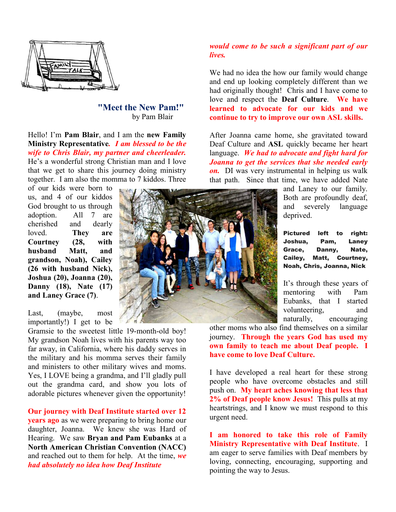

### **"Meet the New Pam! Pam!"**  by Pam Blair

Hello! I'm **Pam Blair**, and I am the **new Family Ministry Representative***. I am blessed to be the wife to Chris Blair, my partner and cheerleader. to partner* He's a wonderful strong Christian man and I love that we get to share this journey doing ministry together. I am also the momma to 7 kiddos. Three

of our kids were born to us, and 4 of our kiddos God brought to us through adoption. All 7 are cherished and dearly loved. **They are Courtney (28, with husband Matt, and grandson, Noah), Cailey (26 with husband Nick), Joshua (20), Joanna (20), Danny (18), Nate (17) and Laney Grace (7)**. that we get to share this journey doing ministry<br>together. I am also the momma to 7 kiddos. Three<br>of our kids were born to<br>us, and 4 of our kiddos<br>God brought to us through<br>adoption. All 7 are<br>cherished and dearly<br>loved. T

Last, (maybe, most importantly!) I get to be

Gramsie to the sweetest little 19-month-old boy! My grandson Noah lives with his parents way too far away, in California, where his daddy serves in the military and his momma serves their family and ministers to other military wives and moms. Yes, I LOVE being a grandma, and I'll gladly pull out the grandma card, and show you lots of adorable pictures whenever given the opportunity! My grandson Noah lives with his parents way too far away, in California, where his daddy serves in the military and his momma serves their family and ministers to other military wives and moms. Yes, I LOVE being a grandma,

**Our journey with Deaf Institute started over 12 years ago** as we were preparing to bring home our daughter, Joanna. We knew she was Hard of Hearing. We saw Bryan and Pam Eubanks at a **North American Christian Convention (NACC)** and reached out to them for help. At the time, we *had absolutely no idea how Deaf Institute* 

### *would come to be such a significant part of our lives.*

We had no idea the how our family would change and end up looking completely different than we had originally thought! Chris and I have come to love and respect the **Deaf Culture**. We have **learned to advocate for our kids and we continue to try to improve our own ASL skills. ASL skills.**e had no idea the how our family would change<br>d end up looking completely different than we<br>d originally thought! Chris and I have come to

After Joanna came home, she gravitated toward Deaf Culture and **ASL** quickly became her heart language. *We had to advocate and fight hard for Joanna to get the services that she needed early on.* DI was very instrumental in helping us walk on. DI was very instrumental in helping us walk that path. Since that time, we have added Nate

> and Laney to our family. Both are profoundly deaf, and severely language deprived. Laney to our family.<br>
> h are profoundly deaf,<br>
> severely language<br>
> rived.

> Pictured left to right: Joshua, Pam, Laney Grace, Danny, Nate, Joshua, Pam, Laney<br>Grace, Danny, Nate,<br>Cailey, Matt, Courtney, Noah, Chris, Joanna, Nick Chris, Nick

> It's through these years of mentoring with Pam Eubanks, that I started volunteering, and naturally, encouraging

naturally, encouraging<br>other moms who also find themselves on a similar journey. Through the years God has used my **own family to teach me about Deaf people. I have come to love Deaf Culture.** 

I have developed a real heart for these strong I have developed a real heart for these strong<br>people who have overcome obstacles and still push on. **My heart aches knowing that less that**  push on. My heart aches knowing that less that **2% of Deaf people know Jesus!** This pulls at my heartstrings, and I know we must respond to this urgent need.

I am honored to take this role of Family **Ministry Representative with Deaf Institute** . I am eager to serve families with Deaf members by am eager to serve families with Deaf members by loving, connecting, encouraging, supporting and pointing the way to Jesus.

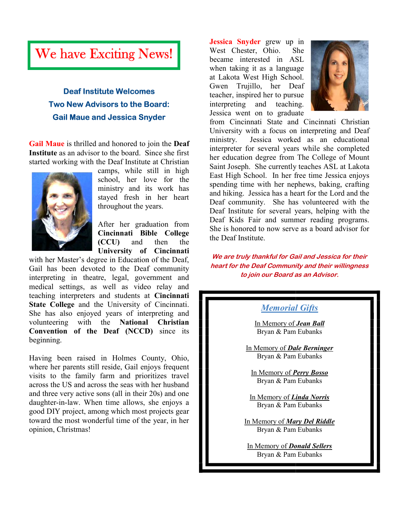# We have Exciting News!

# **Deaf Institute Welcome es Two New Advisors to the B Board: Gail Maue and Jessica Sny nyder**

**Gail Maue** is thrilled and honored to join the **Deaf Institute** as an advisor to the board. Since she first started working with the Deaf Institute at Christian



camps, while still in high school, her love for the ministry and its work has stayed fresh in her heart throughout the years. te as an advisor to the board. Since she first<br>working with the Deaf Institute at Christian<br>camps, while still in high<br>school, her love for the<br>ministry and its work has<br>stayed fresh in her heart<br>throughout the years.<br>Afte

After her graduation from **Cincinnati Bible College (CCU)** and then the **University of Cincinnati of Cincinnati**

with her Master's degree in Education of the Deaf, Gail has been devoted to the Deaf community interpreting in theatre, legal, government and with her Master's degree in Education of the Deaf,<br>Gail has been devoted to the Deaf community<br>interpreting in theatre, legal, government and<br>medical settings, as well as video relay and teaching interpreters and students at **Cincinnati State College** and the University of Cincinnati. She has also enjoyed years of interpreting and volunteering with the **National Christian Christian Convention of the Deaf (NCCD)** since its beginning.

Having been raised in Holmes County, Ohio, where her parents still reside, Gail enjoys frequent visits to the family farm and prioritizes travel across the US and across the seas with her husband and three very active sons (all in their 20s) and one daughter-in-law. When time allows, she enjoys a good DIY project, among which most projects gear toward the most wonderful time of the year, in her opinion, Christmas! Having been raised in Holmes County, Ohio,<br>where her parents still reside, Gail enjoys frequent<br>visits to the family farm and prioritizes travel n-law. When time allows, she enjoys a<br>project, among which most projects gear<br>most wonderful time of the year, in her

**Jessica Snyder** grew up in West Chester, Ohio. She West Chester, Ohio. She<br>became interested in ASL when taking it as a language at Lakota West High School.<br>Gwen Trujillo, her Deaf Gwen Trujillo, her Deaf teacher, inspired her to pursue<br>interpreting and teaching. interpreting and teaching. Jessica went on to graduate Jessica



from Cincinnati State and Cincinnati Christian University with a focus on interpreting and Deaf ministry. Jessica worked as an educational interpreter for several years while she completed from Cincinnati State and Cincinnati Christian<br>University with a focus on interpreting and Deaf<br>ministry. Jessica worked as an educational<br>interpreter for several years while she completed<br>her education degree from The Col Saint Joseph. She currently teaches ASL at Lakota East High School. In her free time Jessica enjoys spending time with her nephews, baking, crafting spending time with her nephews, baking, crafting<br>and hiking. Jessica has a heart for the Lord and the Deaf community. She has volunteered with the Deaf Institute for several years, helping with the Deaf Kids Fair and summer reading programs. Deaf Kids Fair and summer reading programs.<br>She is honored to now serve as a board advisor for the Deaf Institute.

**We are truly thankful for Gail and Jessica for their heart for the Deaf Community and their willingness to join our Board as an Advi** thankful for Gail and Jessica for their<br>Deaf Community and their willingness<br>oin our Board as an Advisor.

### *Memorial Gifts*

In Memory of *Jean Ball* Bryan & Pam Eubanks

In Memory of *Dale Berninger* Bryan & Pam Eubanks

In Memory of *Perry Bosso Bosso* Bryan & Pam Eubanks

In Memory of *Linda Norris Linda*  Bryan & Pam Eubanks

In Memory of *Mary Del Riddle* Bryan & Pam Eubanks

In Memory of *Donald Sellers* Bryan & Pam Eubanks